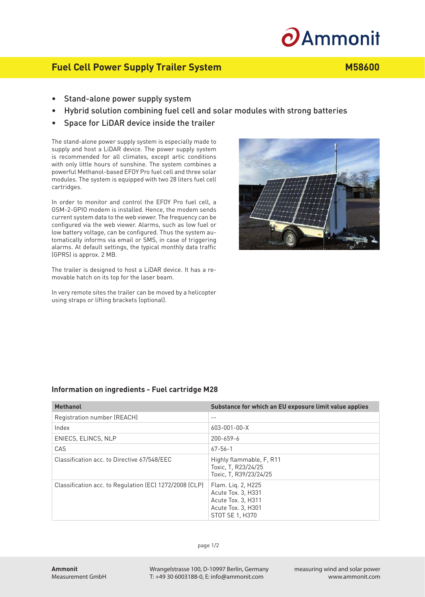# $\boldsymbol{\partial}$ Ammonit

## **Fuel Cell Power Supply Trailer System M58600**

- Stand-alone power supply system
- Hybrid solution combining fuel cell and solar modules with strong batteries
- Space for LiDAR device inside the trailer

The stand-alone power supply system is especially made to supply and host a LiDAR device. The power supply system is recommended for all climates, except artic conditions with only little hours of sunshine. The system combines a powerful Methanol-based EFOY Pro fuel cell and three solar modules. The system is equipped with two 28 liters fuel cell cartridges.

In order to monitor and control the EFOY Pro fuel cell, a GSM-2-GPIO modem is installed. Hence, the modem sends current system data to the web viewer. The frequency can be configured via the web viewer. Alarms, such as low fuel or low battery voltage, can be configured. Thus the system automatically informs via email or SMS, in case of triggering alarms. At default settings, the typical monthly data traffic (GPRS) is approx. 2 MB.

The trailer is designed to host a LiDAR device. It has a removable hatch on its top for the laser beam.

In very remote sites the trailer can be moved by a helicopter using straps or lifting brackets (optional).



## **Information on ingredients - Fuel cartridge M28**

| <b>Methanol</b>                                        | Substance for which an EU exposure limit value applies                                                  |
|--------------------------------------------------------|---------------------------------------------------------------------------------------------------------|
| Registration number (REACH)                            | $ -$                                                                                                    |
| Index                                                  | $603 - 001 - 00 - X$                                                                                    |
| ENIECS, ELINCS, NLP                                    | 200-659-6                                                                                               |
| CAS                                                    | $67 - 56 - 1$                                                                                           |
| Classification acc. to Directive 67/548/EEC            | Highly flammable, F, R11<br>Toxic, T, R23/24/25<br>Toxic. T. R39/23/24/25                               |
| Classification acc. to Regulation (EC) 1272/2008 (CLP) | Flam. Lig. 2, H225<br>Acute Tox. 3, H331<br>Acute Tox. 3, H311<br>Acute Tox. 3, H301<br>STOT SE 1, H370 |

Wrangelstrasse 100, D-10997 Berlin, Germany T: +49 30 6003188-0, E: info@ammonit.com